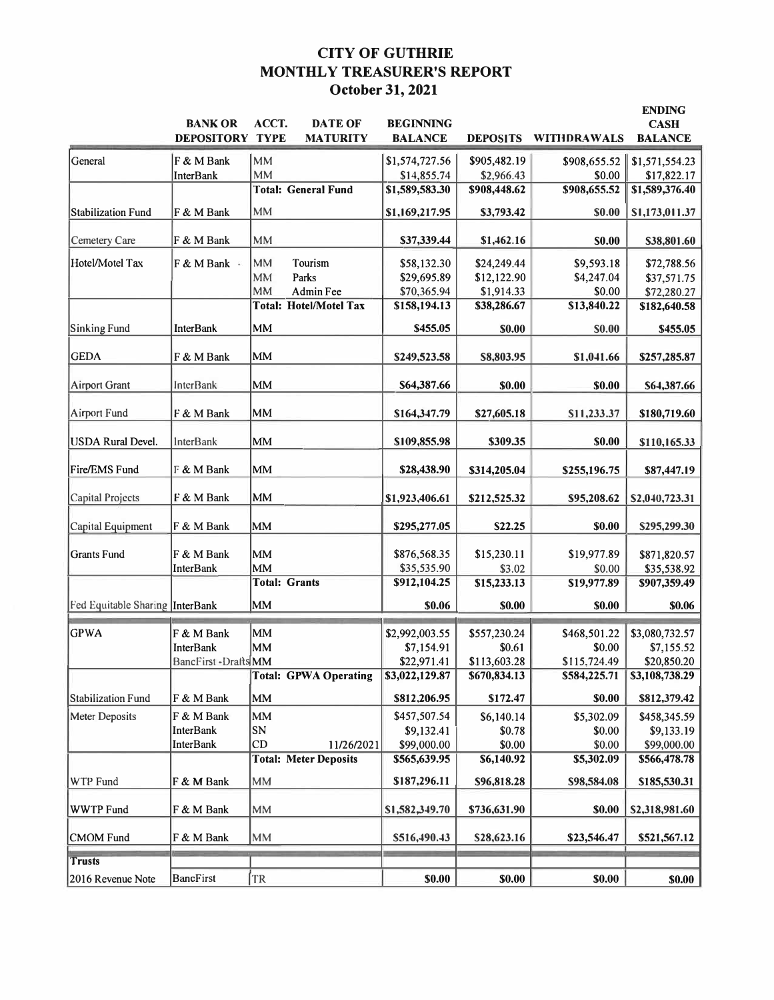# **CITY OF GUTHRIE MONTHLY TREASURER'S REPORT October 31, 2021**

| <b>DEPOSITORY TYPE</b><br><b>MATURITY</b><br>WITHDRAWALS<br><b>BALANCE</b><br><b>BALANCE</b><br><b>DEPOSITS</b><br>General<br><b>MM</b><br>F & M Bank<br>\$1,574,727.56<br>\$905,482.19<br>\$908,655.52<br>\$1,571,554.23<br><b>MM</b><br><b>InterBank</b><br>\$14,855.74<br>\$0.00<br>\$17,822.17<br>\$2,966.43<br><b>Total: General Fund</b><br>\$908,655.52<br>\$1,589,583.30<br>\$908,448.62<br>\$1,589,376.40<br><b>MM</b><br>Stabilization Fund<br>F & M Bank<br>\$1,169,217.95<br>\$3,793.42<br>\$0.00<br>\$1,173,011.37<br><b>MM</b><br><b>Cemetery Care</b><br>F & M Bank<br>\$37,339.44<br>\$1,462.16<br><b>SO.00</b><br>\$38,801.60<br>Hotel/Motel Tax<br>MM<br>Tourism<br>F & M Bank ·<br>\$24,249.44<br>\$9,593.18<br>\$58,132.30<br>\$72,788.56<br><b>MM</b><br>Parks<br>\$12,122.90<br>\$4,247.04<br>\$29,695.89<br>\$37,571.75<br>MM<br>Admin Fee<br>\$70,365.94<br>\$0.00<br>\$1,914.33<br>\$72,280.27<br><b>Total: Hotel/Motel Tax</b><br>\$13,840.22<br>\$158,194.13<br>\$38,286.67<br>\$182,640.58<br>MM<br>Sinking Fund<br><b>InterBank</b><br>\$455.05<br>\$0.00<br><b>SO.00</b><br>\$455.05<br><b>GEDA</b><br>MM<br>F & M Bank<br>\$249,523.58<br>S8,803.95<br>\$1,041.66<br>\$257,285.87<br>MM<br><b>Airport Grant</b><br><b>InterBank</b><br>\$64,387.66<br>\$0.00<br>\$0.00<br>\$64,387.66<br>Airport Fund<br><b>MM</b><br>F & M Bank<br>\$164,347.79<br>\$27,605.18<br>S11,233.37<br>\$180,719.60<br>MM<br><b>USDA</b> Rural Devel.<br><b>InterBank</b><br>\$109,855.98<br>\$309.35<br><b>\$0.00</b><br>\$110,165.33<br><b>MM</b><br>Fire/EMS Fund<br>F & M Bank<br>\$28,438.90<br>\$314,205.04<br>\$255,196.75<br>\$87,447.19<br><b>MM</b><br>Capital Projects<br>F & M Bank<br>\$1,923,406.61<br>\$212,525.32<br>\$95,208.62<br>\$2,040,723.31<br>MM<br>F & M Bank<br>S22.25<br>\$0.00<br>Capital Equipment<br>\$295,277.05<br>\$295,299.30<br><b>Grants Fund</b><br>F & M Bank<br>MM<br>\$15,230.11<br>\$19,977.89<br>\$871,820.57<br>\$876,568.35<br>MM<br><b>InterBank</b><br>\$35,535.90<br>\$3.02<br>\$0.00<br>\$35,538.92<br><b>Total: Grants</b><br>\$19,977.89<br>\$912,104.25<br>\$15,233.13<br>\$907,359.49<br>Fed Equitable Sharing InterBank<br>MM<br>\$0.06<br>\$0.00<br>\$0.00<br>\$0.06<br><b>GPWA</b><br>MM<br>\$2,992,003.55<br>\$557,230.24<br>\$468,501.22<br>\$3,080,732.57<br>F & M Bank<br>MM<br><b>InterBank</b><br>\$7,154.91<br>\$7,155.52<br>\$0.61<br>\$0.00<br>\$22,971.41<br>\$115,724.49<br>\$20,850.20<br>BancFirst -DraftsMM<br>\$113,603.28<br>\$670,834.13<br>\$584,225.71<br><b>Total: GPWA Operating</b><br>\$3,022,129.87<br>\$3,108,738.29<br>MM<br>\$0.00<br>Stabilization Fund<br>F & M Bank<br>\$812,206.95<br>\$172.47<br>\$812,379.42<br><b>Meter Deposits</b><br><b>MM</b><br>\$5,302.09<br>F & M Bank<br>\$457,507.54<br>\$6,140.14<br>\$458,345.59<br>SN<br><b>InterBank</b><br>\$9,132.41<br>\$0.78<br>\$0.00<br>\$9,133.19<br><b>InterBank</b><br>\$99,000.00<br>\$0.00<br>CD<br>11/26/2021<br>\$0.00<br>\$99,000.00<br><b>Total: Meter Deposits</b><br>\$6,140.92<br>\$5,302.09<br>\$565,639.95<br>\$566,478.78<br>MM<br>WTP Fund<br>F & M Bank<br>\$187,296.11<br>\$96,818.28<br>\$98,584.08<br>\$185,530.31<br><b>WWTP Fund</b><br><b>MM</b><br>\$0.00<br>F & M Bank<br>\$1,582,349.70<br>\$736,631.90<br>\$2,318,981.60<br><b>CMOM</b> Fund<br>F & M Bank<br><b>MM</b><br>\$516,490.43<br>\$28,623.16<br>\$23,546.47<br>\$521,567.12<br><b>Trusts</b> |                   | <b>BANK OR</b>   | ACCT.<br><b>DATE OF</b> | <b>BEGINNING</b> |        |        | <b>ENDING</b><br><b>CASH</b> |
|----------------------------------------------------------------------------------------------------------------------------------------------------------------------------------------------------------------------------------------------------------------------------------------------------------------------------------------------------------------------------------------------------------------------------------------------------------------------------------------------------------------------------------------------------------------------------------------------------------------------------------------------------------------------------------------------------------------------------------------------------------------------------------------------------------------------------------------------------------------------------------------------------------------------------------------------------------------------------------------------------------------------------------------------------------------------------------------------------------------------------------------------------------------------------------------------------------------------------------------------------------------------------------------------------------------------------------------------------------------------------------------------------------------------------------------------------------------------------------------------------------------------------------------------------------------------------------------------------------------------------------------------------------------------------------------------------------------------------------------------------------------------------------------------------------------------------------------------------------------------------------------------------------------------------------------------------------------------------------------------------------------------------------------------------------------------------------------------------------------------------------------------------------------------------------------------------------------------------------------------------------------------------------------------------------------------------------------------------------------------------------------------------------------------------------------------------------------------------------------------------------------------------------------------------------------------------------------------------------------------------------------------------------------------------------------------------------------------------------------------------------------------------------------------------------------------------------------------------------------------------------------------------------------------------------------------------------------------------------------------------------------------------------------------------------------------------------------------------------------------------------------------------------------------------------------------------------------------------------------------------------------------------------------------------------------------------------------------------------------------------------------------------------------------------------------|-------------------|------------------|-------------------------|------------------|--------|--------|------------------------------|
|                                                                                                                                                                                                                                                                                                                                                                                                                                                                                                                                                                                                                                                                                                                                                                                                                                                                                                                                                                                                                                                                                                                                                                                                                                                                                                                                                                                                                                                                                                                                                                                                                                                                                                                                                                                                                                                                                                                                                                                                                                                                                                                                                                                                                                                                                                                                                                                                                                                                                                                                                                                                                                                                                                                                                                                                                                                                                                                                                                                                                                                                                                                                                                                                                                                                                                                                                                                                                                        |                   |                  |                         |                  |        |        |                              |
|                                                                                                                                                                                                                                                                                                                                                                                                                                                                                                                                                                                                                                                                                                                                                                                                                                                                                                                                                                                                                                                                                                                                                                                                                                                                                                                                                                                                                                                                                                                                                                                                                                                                                                                                                                                                                                                                                                                                                                                                                                                                                                                                                                                                                                                                                                                                                                                                                                                                                                                                                                                                                                                                                                                                                                                                                                                                                                                                                                                                                                                                                                                                                                                                                                                                                                                                                                                                                                        |                   |                  |                         |                  |        |        |                              |
|                                                                                                                                                                                                                                                                                                                                                                                                                                                                                                                                                                                                                                                                                                                                                                                                                                                                                                                                                                                                                                                                                                                                                                                                                                                                                                                                                                                                                                                                                                                                                                                                                                                                                                                                                                                                                                                                                                                                                                                                                                                                                                                                                                                                                                                                                                                                                                                                                                                                                                                                                                                                                                                                                                                                                                                                                                                                                                                                                                                                                                                                                                                                                                                                                                                                                                                                                                                                                                        |                   |                  |                         |                  |        |        |                              |
|                                                                                                                                                                                                                                                                                                                                                                                                                                                                                                                                                                                                                                                                                                                                                                                                                                                                                                                                                                                                                                                                                                                                                                                                                                                                                                                                                                                                                                                                                                                                                                                                                                                                                                                                                                                                                                                                                                                                                                                                                                                                                                                                                                                                                                                                                                                                                                                                                                                                                                                                                                                                                                                                                                                                                                                                                                                                                                                                                                                                                                                                                                                                                                                                                                                                                                                                                                                                                                        |                   |                  |                         |                  |        |        |                              |
|                                                                                                                                                                                                                                                                                                                                                                                                                                                                                                                                                                                                                                                                                                                                                                                                                                                                                                                                                                                                                                                                                                                                                                                                                                                                                                                                                                                                                                                                                                                                                                                                                                                                                                                                                                                                                                                                                                                                                                                                                                                                                                                                                                                                                                                                                                                                                                                                                                                                                                                                                                                                                                                                                                                                                                                                                                                                                                                                                                                                                                                                                                                                                                                                                                                                                                                                                                                                                                        |                   |                  |                         |                  |        |        |                              |
|                                                                                                                                                                                                                                                                                                                                                                                                                                                                                                                                                                                                                                                                                                                                                                                                                                                                                                                                                                                                                                                                                                                                                                                                                                                                                                                                                                                                                                                                                                                                                                                                                                                                                                                                                                                                                                                                                                                                                                                                                                                                                                                                                                                                                                                                                                                                                                                                                                                                                                                                                                                                                                                                                                                                                                                                                                                                                                                                                                                                                                                                                                                                                                                                                                                                                                                                                                                                                                        |                   |                  |                         |                  |        |        |                              |
|                                                                                                                                                                                                                                                                                                                                                                                                                                                                                                                                                                                                                                                                                                                                                                                                                                                                                                                                                                                                                                                                                                                                                                                                                                                                                                                                                                                                                                                                                                                                                                                                                                                                                                                                                                                                                                                                                                                                                                                                                                                                                                                                                                                                                                                                                                                                                                                                                                                                                                                                                                                                                                                                                                                                                                                                                                                                                                                                                                                                                                                                                                                                                                                                                                                                                                                                                                                                                                        |                   |                  |                         |                  |        |        |                              |
|                                                                                                                                                                                                                                                                                                                                                                                                                                                                                                                                                                                                                                                                                                                                                                                                                                                                                                                                                                                                                                                                                                                                                                                                                                                                                                                                                                                                                                                                                                                                                                                                                                                                                                                                                                                                                                                                                                                                                                                                                                                                                                                                                                                                                                                                                                                                                                                                                                                                                                                                                                                                                                                                                                                                                                                                                                                                                                                                                                                                                                                                                                                                                                                                                                                                                                                                                                                                                                        |                   |                  |                         |                  |        |        |                              |
|                                                                                                                                                                                                                                                                                                                                                                                                                                                                                                                                                                                                                                                                                                                                                                                                                                                                                                                                                                                                                                                                                                                                                                                                                                                                                                                                                                                                                                                                                                                                                                                                                                                                                                                                                                                                                                                                                                                                                                                                                                                                                                                                                                                                                                                                                                                                                                                                                                                                                                                                                                                                                                                                                                                                                                                                                                                                                                                                                                                                                                                                                                                                                                                                                                                                                                                                                                                                                                        |                   |                  |                         |                  |        |        |                              |
|                                                                                                                                                                                                                                                                                                                                                                                                                                                                                                                                                                                                                                                                                                                                                                                                                                                                                                                                                                                                                                                                                                                                                                                                                                                                                                                                                                                                                                                                                                                                                                                                                                                                                                                                                                                                                                                                                                                                                                                                                                                                                                                                                                                                                                                                                                                                                                                                                                                                                                                                                                                                                                                                                                                                                                                                                                                                                                                                                                                                                                                                                                                                                                                                                                                                                                                                                                                                                                        |                   |                  |                         |                  |        |        |                              |
|                                                                                                                                                                                                                                                                                                                                                                                                                                                                                                                                                                                                                                                                                                                                                                                                                                                                                                                                                                                                                                                                                                                                                                                                                                                                                                                                                                                                                                                                                                                                                                                                                                                                                                                                                                                                                                                                                                                                                                                                                                                                                                                                                                                                                                                                                                                                                                                                                                                                                                                                                                                                                                                                                                                                                                                                                                                                                                                                                                                                                                                                                                                                                                                                                                                                                                                                                                                                                                        |                   |                  |                         |                  |        |        |                              |
|                                                                                                                                                                                                                                                                                                                                                                                                                                                                                                                                                                                                                                                                                                                                                                                                                                                                                                                                                                                                                                                                                                                                                                                                                                                                                                                                                                                                                                                                                                                                                                                                                                                                                                                                                                                                                                                                                                                                                                                                                                                                                                                                                                                                                                                                                                                                                                                                                                                                                                                                                                                                                                                                                                                                                                                                                                                                                                                                                                                                                                                                                                                                                                                                                                                                                                                                                                                                                                        |                   |                  |                         |                  |        |        |                              |
|                                                                                                                                                                                                                                                                                                                                                                                                                                                                                                                                                                                                                                                                                                                                                                                                                                                                                                                                                                                                                                                                                                                                                                                                                                                                                                                                                                                                                                                                                                                                                                                                                                                                                                                                                                                                                                                                                                                                                                                                                                                                                                                                                                                                                                                                                                                                                                                                                                                                                                                                                                                                                                                                                                                                                                                                                                                                                                                                                                                                                                                                                                                                                                                                                                                                                                                                                                                                                                        |                   |                  |                         |                  |        |        |                              |
|                                                                                                                                                                                                                                                                                                                                                                                                                                                                                                                                                                                                                                                                                                                                                                                                                                                                                                                                                                                                                                                                                                                                                                                                                                                                                                                                                                                                                                                                                                                                                                                                                                                                                                                                                                                                                                                                                                                                                                                                                                                                                                                                                                                                                                                                                                                                                                                                                                                                                                                                                                                                                                                                                                                                                                                                                                                                                                                                                                                                                                                                                                                                                                                                                                                                                                                                                                                                                                        |                   |                  |                         |                  |        |        |                              |
|                                                                                                                                                                                                                                                                                                                                                                                                                                                                                                                                                                                                                                                                                                                                                                                                                                                                                                                                                                                                                                                                                                                                                                                                                                                                                                                                                                                                                                                                                                                                                                                                                                                                                                                                                                                                                                                                                                                                                                                                                                                                                                                                                                                                                                                                                                                                                                                                                                                                                                                                                                                                                                                                                                                                                                                                                                                                                                                                                                                                                                                                                                                                                                                                                                                                                                                                                                                                                                        |                   |                  |                         |                  |        |        |                              |
|                                                                                                                                                                                                                                                                                                                                                                                                                                                                                                                                                                                                                                                                                                                                                                                                                                                                                                                                                                                                                                                                                                                                                                                                                                                                                                                                                                                                                                                                                                                                                                                                                                                                                                                                                                                                                                                                                                                                                                                                                                                                                                                                                                                                                                                                                                                                                                                                                                                                                                                                                                                                                                                                                                                                                                                                                                                                                                                                                                                                                                                                                                                                                                                                                                                                                                                                                                                                                                        |                   |                  |                         |                  |        |        |                              |
|                                                                                                                                                                                                                                                                                                                                                                                                                                                                                                                                                                                                                                                                                                                                                                                                                                                                                                                                                                                                                                                                                                                                                                                                                                                                                                                                                                                                                                                                                                                                                                                                                                                                                                                                                                                                                                                                                                                                                                                                                                                                                                                                                                                                                                                                                                                                                                                                                                                                                                                                                                                                                                                                                                                                                                                                                                                                                                                                                                                                                                                                                                                                                                                                                                                                                                                                                                                                                                        |                   |                  |                         |                  |        |        |                              |
|                                                                                                                                                                                                                                                                                                                                                                                                                                                                                                                                                                                                                                                                                                                                                                                                                                                                                                                                                                                                                                                                                                                                                                                                                                                                                                                                                                                                                                                                                                                                                                                                                                                                                                                                                                                                                                                                                                                                                                                                                                                                                                                                                                                                                                                                                                                                                                                                                                                                                                                                                                                                                                                                                                                                                                                                                                                                                                                                                                                                                                                                                                                                                                                                                                                                                                                                                                                                                                        |                   |                  |                         |                  |        |        |                              |
|                                                                                                                                                                                                                                                                                                                                                                                                                                                                                                                                                                                                                                                                                                                                                                                                                                                                                                                                                                                                                                                                                                                                                                                                                                                                                                                                                                                                                                                                                                                                                                                                                                                                                                                                                                                                                                                                                                                                                                                                                                                                                                                                                                                                                                                                                                                                                                                                                                                                                                                                                                                                                                                                                                                                                                                                                                                                                                                                                                                                                                                                                                                                                                                                                                                                                                                                                                                                                                        |                   |                  |                         |                  |        |        |                              |
|                                                                                                                                                                                                                                                                                                                                                                                                                                                                                                                                                                                                                                                                                                                                                                                                                                                                                                                                                                                                                                                                                                                                                                                                                                                                                                                                                                                                                                                                                                                                                                                                                                                                                                                                                                                                                                                                                                                                                                                                                                                                                                                                                                                                                                                                                                                                                                                                                                                                                                                                                                                                                                                                                                                                                                                                                                                                                                                                                                                                                                                                                                                                                                                                                                                                                                                                                                                                                                        |                   |                  |                         |                  |        |        |                              |
|                                                                                                                                                                                                                                                                                                                                                                                                                                                                                                                                                                                                                                                                                                                                                                                                                                                                                                                                                                                                                                                                                                                                                                                                                                                                                                                                                                                                                                                                                                                                                                                                                                                                                                                                                                                                                                                                                                                                                                                                                                                                                                                                                                                                                                                                                                                                                                                                                                                                                                                                                                                                                                                                                                                                                                                                                                                                                                                                                                                                                                                                                                                                                                                                                                                                                                                                                                                                                                        |                   |                  |                         |                  |        |        |                              |
|                                                                                                                                                                                                                                                                                                                                                                                                                                                                                                                                                                                                                                                                                                                                                                                                                                                                                                                                                                                                                                                                                                                                                                                                                                                                                                                                                                                                                                                                                                                                                                                                                                                                                                                                                                                                                                                                                                                                                                                                                                                                                                                                                                                                                                                                                                                                                                                                                                                                                                                                                                                                                                                                                                                                                                                                                                                                                                                                                                                                                                                                                                                                                                                                                                                                                                                                                                                                                                        |                   |                  |                         |                  |        |        |                              |
|                                                                                                                                                                                                                                                                                                                                                                                                                                                                                                                                                                                                                                                                                                                                                                                                                                                                                                                                                                                                                                                                                                                                                                                                                                                                                                                                                                                                                                                                                                                                                                                                                                                                                                                                                                                                                                                                                                                                                                                                                                                                                                                                                                                                                                                                                                                                                                                                                                                                                                                                                                                                                                                                                                                                                                                                                                                                                                                                                                                                                                                                                                                                                                                                                                                                                                                                                                                                                                        |                   |                  |                         |                  |        |        |                              |
|                                                                                                                                                                                                                                                                                                                                                                                                                                                                                                                                                                                                                                                                                                                                                                                                                                                                                                                                                                                                                                                                                                                                                                                                                                                                                                                                                                                                                                                                                                                                                                                                                                                                                                                                                                                                                                                                                                                                                                                                                                                                                                                                                                                                                                                                                                                                                                                                                                                                                                                                                                                                                                                                                                                                                                                                                                                                                                                                                                                                                                                                                                                                                                                                                                                                                                                                                                                                                                        |                   |                  |                         |                  |        |        |                              |
|                                                                                                                                                                                                                                                                                                                                                                                                                                                                                                                                                                                                                                                                                                                                                                                                                                                                                                                                                                                                                                                                                                                                                                                                                                                                                                                                                                                                                                                                                                                                                                                                                                                                                                                                                                                                                                                                                                                                                                                                                                                                                                                                                                                                                                                                                                                                                                                                                                                                                                                                                                                                                                                                                                                                                                                                                                                                                                                                                                                                                                                                                                                                                                                                                                                                                                                                                                                                                                        |                   |                  |                         |                  |        |        |                              |
|                                                                                                                                                                                                                                                                                                                                                                                                                                                                                                                                                                                                                                                                                                                                                                                                                                                                                                                                                                                                                                                                                                                                                                                                                                                                                                                                                                                                                                                                                                                                                                                                                                                                                                                                                                                                                                                                                                                                                                                                                                                                                                                                                                                                                                                                                                                                                                                                                                                                                                                                                                                                                                                                                                                                                                                                                                                                                                                                                                                                                                                                                                                                                                                                                                                                                                                                                                                                                                        |                   |                  |                         |                  |        |        |                              |
|                                                                                                                                                                                                                                                                                                                                                                                                                                                                                                                                                                                                                                                                                                                                                                                                                                                                                                                                                                                                                                                                                                                                                                                                                                                                                                                                                                                                                                                                                                                                                                                                                                                                                                                                                                                                                                                                                                                                                                                                                                                                                                                                                                                                                                                                                                                                                                                                                                                                                                                                                                                                                                                                                                                                                                                                                                                                                                                                                                                                                                                                                                                                                                                                                                                                                                                                                                                                                                        |                   |                  |                         |                  |        |        |                              |
|                                                                                                                                                                                                                                                                                                                                                                                                                                                                                                                                                                                                                                                                                                                                                                                                                                                                                                                                                                                                                                                                                                                                                                                                                                                                                                                                                                                                                                                                                                                                                                                                                                                                                                                                                                                                                                                                                                                                                                                                                                                                                                                                                                                                                                                                                                                                                                                                                                                                                                                                                                                                                                                                                                                                                                                                                                                                                                                                                                                                                                                                                                                                                                                                                                                                                                                                                                                                                                        |                   |                  |                         |                  |        |        |                              |
|                                                                                                                                                                                                                                                                                                                                                                                                                                                                                                                                                                                                                                                                                                                                                                                                                                                                                                                                                                                                                                                                                                                                                                                                                                                                                                                                                                                                                                                                                                                                                                                                                                                                                                                                                                                                                                                                                                                                                                                                                                                                                                                                                                                                                                                                                                                                                                                                                                                                                                                                                                                                                                                                                                                                                                                                                                                                                                                                                                                                                                                                                                                                                                                                                                                                                                                                                                                                                                        |                   |                  |                         |                  |        |        |                              |
|                                                                                                                                                                                                                                                                                                                                                                                                                                                                                                                                                                                                                                                                                                                                                                                                                                                                                                                                                                                                                                                                                                                                                                                                                                                                                                                                                                                                                                                                                                                                                                                                                                                                                                                                                                                                                                                                                                                                                                                                                                                                                                                                                                                                                                                                                                                                                                                                                                                                                                                                                                                                                                                                                                                                                                                                                                                                                                                                                                                                                                                                                                                                                                                                                                                                                                                                                                                                                                        |                   |                  |                         |                  |        |        |                              |
|                                                                                                                                                                                                                                                                                                                                                                                                                                                                                                                                                                                                                                                                                                                                                                                                                                                                                                                                                                                                                                                                                                                                                                                                                                                                                                                                                                                                                                                                                                                                                                                                                                                                                                                                                                                                                                                                                                                                                                                                                                                                                                                                                                                                                                                                                                                                                                                                                                                                                                                                                                                                                                                                                                                                                                                                                                                                                                                                                                                                                                                                                                                                                                                                                                                                                                                                                                                                                                        |                   |                  |                         |                  |        |        |                              |
|                                                                                                                                                                                                                                                                                                                                                                                                                                                                                                                                                                                                                                                                                                                                                                                                                                                                                                                                                                                                                                                                                                                                                                                                                                                                                                                                                                                                                                                                                                                                                                                                                                                                                                                                                                                                                                                                                                                                                                                                                                                                                                                                                                                                                                                                                                                                                                                                                                                                                                                                                                                                                                                                                                                                                                                                                                                                                                                                                                                                                                                                                                                                                                                                                                                                                                                                                                                                                                        |                   |                  |                         |                  |        |        |                              |
|                                                                                                                                                                                                                                                                                                                                                                                                                                                                                                                                                                                                                                                                                                                                                                                                                                                                                                                                                                                                                                                                                                                                                                                                                                                                                                                                                                                                                                                                                                                                                                                                                                                                                                                                                                                                                                                                                                                                                                                                                                                                                                                                                                                                                                                                                                                                                                                                                                                                                                                                                                                                                                                                                                                                                                                                                                                                                                                                                                                                                                                                                                                                                                                                                                                                                                                                                                                                                                        |                   |                  |                         |                  |        |        |                              |
|                                                                                                                                                                                                                                                                                                                                                                                                                                                                                                                                                                                                                                                                                                                                                                                                                                                                                                                                                                                                                                                                                                                                                                                                                                                                                                                                                                                                                                                                                                                                                                                                                                                                                                                                                                                                                                                                                                                                                                                                                                                                                                                                                                                                                                                                                                                                                                                                                                                                                                                                                                                                                                                                                                                                                                                                                                                                                                                                                                                                                                                                                                                                                                                                                                                                                                                                                                                                                                        |                   |                  |                         |                  |        |        |                              |
|                                                                                                                                                                                                                                                                                                                                                                                                                                                                                                                                                                                                                                                                                                                                                                                                                                                                                                                                                                                                                                                                                                                                                                                                                                                                                                                                                                                                                                                                                                                                                                                                                                                                                                                                                                                                                                                                                                                                                                                                                                                                                                                                                                                                                                                                                                                                                                                                                                                                                                                                                                                                                                                                                                                                                                                                                                                                                                                                                                                                                                                                                                                                                                                                                                                                                                                                                                                                                                        |                   |                  |                         |                  |        |        |                              |
|                                                                                                                                                                                                                                                                                                                                                                                                                                                                                                                                                                                                                                                                                                                                                                                                                                                                                                                                                                                                                                                                                                                                                                                                                                                                                                                                                                                                                                                                                                                                                                                                                                                                                                                                                                                                                                                                                                                                                                                                                                                                                                                                                                                                                                                                                                                                                                                                                                                                                                                                                                                                                                                                                                                                                                                                                                                                                                                                                                                                                                                                                                                                                                                                                                                                                                                                                                                                                                        |                   |                  |                         |                  |        |        |                              |
|                                                                                                                                                                                                                                                                                                                                                                                                                                                                                                                                                                                                                                                                                                                                                                                                                                                                                                                                                                                                                                                                                                                                                                                                                                                                                                                                                                                                                                                                                                                                                                                                                                                                                                                                                                                                                                                                                                                                                                                                                                                                                                                                                                                                                                                                                                                                                                                                                                                                                                                                                                                                                                                                                                                                                                                                                                                                                                                                                                                                                                                                                                                                                                                                                                                                                                                                                                                                                                        |                   |                  |                         |                  |        |        |                              |
|                                                                                                                                                                                                                                                                                                                                                                                                                                                                                                                                                                                                                                                                                                                                                                                                                                                                                                                                                                                                                                                                                                                                                                                                                                                                                                                                                                                                                                                                                                                                                                                                                                                                                                                                                                                                                                                                                                                                                                                                                                                                                                                                                                                                                                                                                                                                                                                                                                                                                                                                                                                                                                                                                                                                                                                                                                                                                                                                                                                                                                                                                                                                                                                                                                                                                                                                                                                                                                        | 2016 Revenue Note | <b>BancFirst</b> | TR                      | \$0.00           | \$0.00 | \$0.00 | \$0.00                       |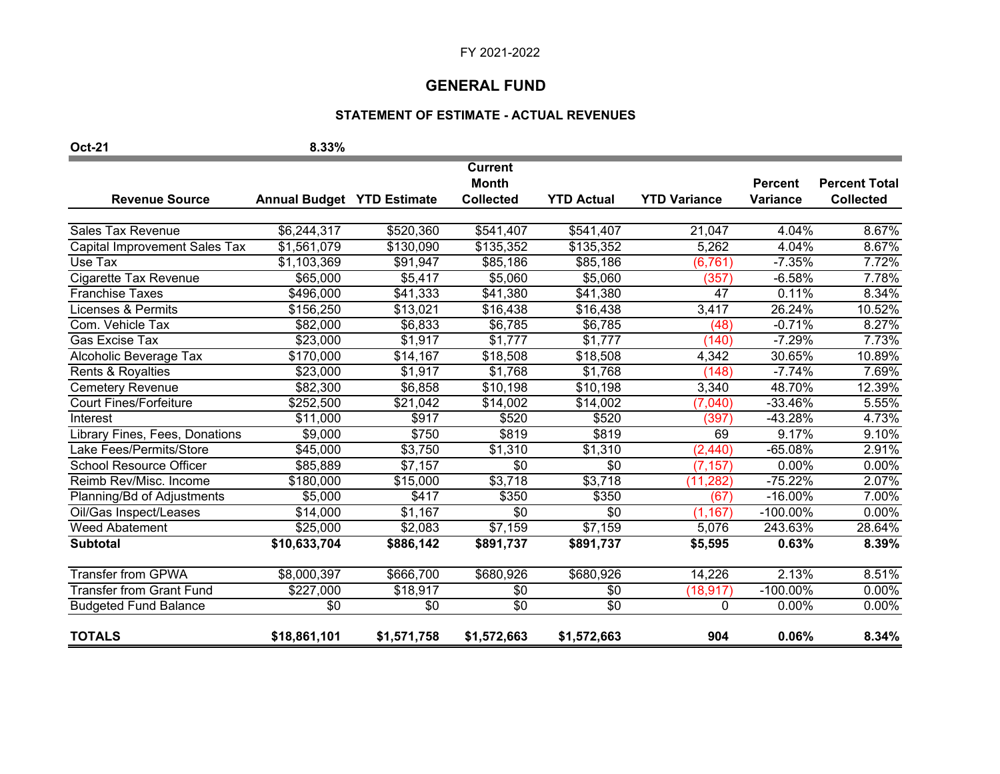# **GENERAL FUND**

# **STATEMENT OF ESTIMATE - ACTUAL REVENUES**

| <b>Oct-21</b>                        | 8.33%                             |             |                                |                      |                     |                 |                      |
|--------------------------------------|-----------------------------------|-------------|--------------------------------|----------------------|---------------------|-----------------|----------------------|
|                                      |                                   |             | <b>Current</b><br><b>Month</b> |                      |                     | <b>Percent</b>  | <b>Percent Total</b> |
| <b>Revenue Source</b>                | <b>Annual Budget YTD Estimate</b> |             | <b>Collected</b>               | <b>YTD Actual</b>    | <b>YTD Variance</b> | <b>Variance</b> | <b>Collected</b>     |
| <b>Sales Tax Revenue</b>             | \$6,244,317                       | \$520,360   | \$541,407                      | \$541,407            | 21,047              | 4.04%           | 8.67%                |
| <b>Capital Improvement Sales Tax</b> | $\overline{$}1,561,079$           | \$130,090   | \$135,352                      | \$135,352            | 5,262               | 4.04%           | 8.67%                |
| Use Tax                              | \$1,103,369                       | \$91,947    | \$85,186                       | \$85,186             | (6, 761)            | $-7.35%$        | 7.72%                |
| Cigarette Tax Revenue                | \$65,000                          | \$5,417     | \$5,060                        | \$5,060              | (357)               | $-6.58%$        | 7.78%                |
| <b>Franchise Taxes</b>               | \$496,000                         | \$41,333    | \$41,380                       | \$41,380             | 47                  | 0.11%           | 8.34%                |
| <b>Licenses &amp; Permits</b>        | \$156,250                         | \$13,021    | \$16,438                       | \$16,438             | 3,417               | 26.24%          | 10.52%               |
| Com. Vehicle Tax                     | \$82,000                          | \$6,833     | \$6,785                        | \$6,785              | (48)                | $-0.71%$        | 8.27%                |
| Gas Excise Tax                       | \$23,000                          | \$1,917     | \$1,777                        | \$1,777              | (140)               | $-7.29%$        | 7.73%                |
| Alcoholic Beverage Tax               | \$170,000                         | \$14,167    | \$18,508                       | \$18,508             | 4,342               | 30.65%          | 10.89%               |
| Rents & Royalties                    | \$23,000                          | \$1,917     | \$1,768                        | \$1,768              | (148)               | $-7.74%$        | 7.69%                |
| <b>Cemetery Revenue</b>              | \$82,300                          | \$6,858     | \$10,198                       | $\overline{$}10,198$ | 3,340               | 48.70%          | 12.39%               |
| <b>Court Fines/Forfeiture</b>        | \$252,500                         | \$21,042    | \$14,002                       | \$14,002             | (7,040)             | -33.46%         | 5.55%                |
| Interest                             | \$11,000                          | \$917       | \$520                          | \$520                | (397)               | $-43.28%$       | 4.73%                |
| Library Fines, Fees, Donations       | \$9,000                           | \$750       | \$819                          | \$819                | 69                  | 9.17%           | 9.10%                |
| Lake Fees/Permits/Store              | \$45,000                          | \$3,750     | \$1,310                        | \$1,310              | (2, 440)            | $-65.08%$       | 2.91%                |
| <b>School Resource Officer</b>       | \$85,889                          | \$7,157     | \$0                            | \$0                  | (7, 157)            | 0.00%           | 0.00%                |
| Reimb Rev/Misc. Income               | \$180,000                         | \$15,000    | \$3,718                        | \$3,718              | (11, 282)           | $-75.22%$       | 2.07%                |
| Planning/Bd of Adjustments           | \$5,000                           | \$417       | \$350                          | \$350                | (67)                | $-16.00%$       | 7.00%                |
| Oil/Gas Inspect/Leases               | \$14,000                          | \$1,167     | $\overline{30}$                | \$0                  | (1, 167)            | $-100.00\%$     | 0.00%                |
| <b>Weed Abatement</b>                | \$25,000                          | \$2,083     | \$7,159                        | \$7,159              | 5,076               | 243.63%         | 28.64%               |
| <b>Subtotal</b>                      | \$10,633,704                      | \$886,142   | \$891,737                      | \$891,737            | \$5,595             | 0.63%           | 8.39%                |
| <b>Transfer from GPWA</b>            | \$8,000,397                       | \$666,700   | \$680,926                      | \$680,926            | 14,226              | 2.13%           | 8.51%                |
| <b>Transfer from Grant Fund</b>      | \$227,000                         | \$18,917    | \$0                            | $\sqrt{6}$           | (18, 917)           | $-100.00\%$     | 0.00%                |
| <b>Budgeted Fund Balance</b>         | \$0                               | \$0         | \$0                            | $\overline{30}$      | 0                   | 0.00%           | 0.00%                |
| <b>TOTALS</b>                        | \$18,861,101                      | \$1,571,758 | \$1,572,663                    | \$1,572,663          | 904                 | 0.06%           | 8.34%                |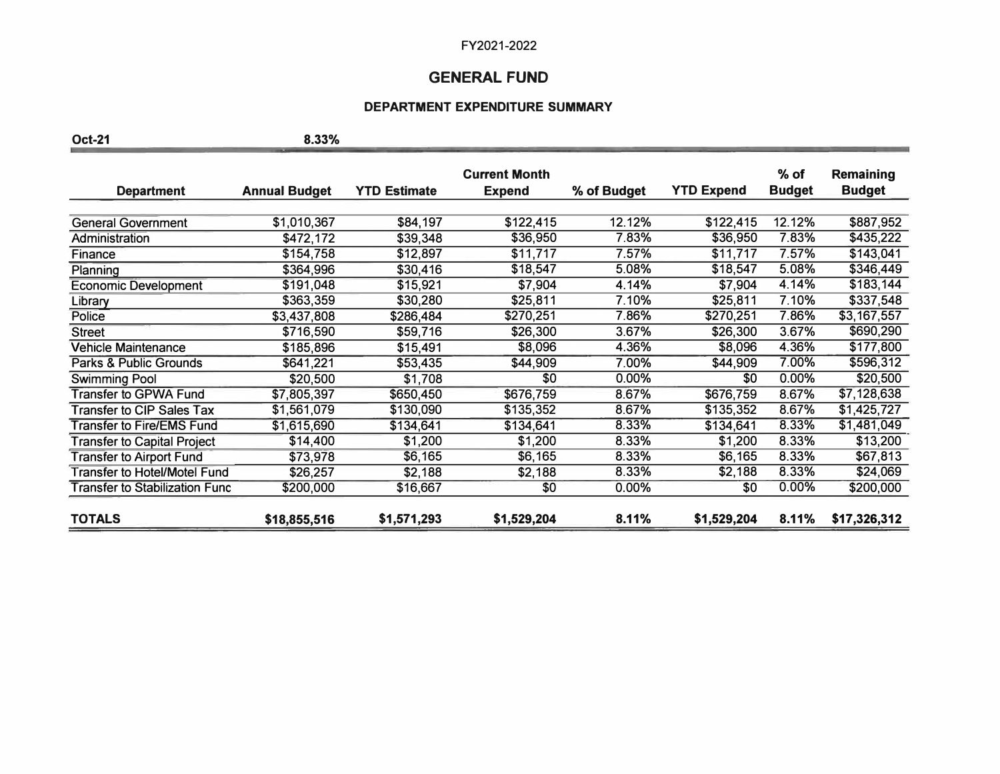# **GENERAL FUND**

## **DEPARTMENT EXPENDITURE SUMMARY**

**Oct-21 8.33%** 

|                                       |                      |                     | <b>Current Month</b> |             |                   | $%$ of        | <b>Remaining</b> |
|---------------------------------------|----------------------|---------------------|----------------------|-------------|-------------------|---------------|------------------|
| <b>Department</b>                     | <b>Annual Budget</b> | <b>YTD Estimate</b> | <b>Expend</b>        | % of Budget | <b>YTD Expend</b> | <b>Budget</b> | <b>Budget</b>    |
|                                       |                      |                     |                      |             |                   |               |                  |
| <b>General Government</b>             | \$1,010,367          | \$84,197            | \$122,415            | 12.12%      | \$122,415         | 12.12%        | \$887,952        |
| Administration                        | \$472,172            | \$39,348            | \$36,950             | 7.83%       | \$36,950          | 7.83%         | \$435,222        |
| Finance                               | \$154,758            | \$12,897            | \$11,717             | 7.57%       | \$11,717          | 7.57%         | \$143,041        |
| Planning                              | \$364,996            | \$30,416            | \$18,547             | 5.08%       | \$18,547          | 5.08%         | \$346,449        |
| <b>Economic Development</b>           | \$191,048            | \$15,921            | \$7,904              | 4.14%       | \$7,904           | 4.14%         | \$183,144        |
| Library                               | \$363,359            | \$30,280            | \$25,811             | 7.10%       | \$25,811          | 7.10%         | \$337,548        |
| Police                                | \$3,437,808          | \$286,484           | \$270,251            | 7.86%       | \$270,251         | 7.86%         | \$3,167,557      |
| <b>Street</b>                         | \$716,590            | \$59,716            | \$26,300             | 3.67%       | \$26,300          | 3.67%         | \$690,290        |
| <b>Vehicle Maintenance</b>            | \$185,896            | \$15,491            | \$8,096              | 4.36%       | \$8,096           | 4.36%         | \$177,800        |
| Parks & Public Grounds                | \$641,221            | \$53,435            | \$44,909             | 7.00%       | \$44,909          | 7.00%         | \$596,312        |
| <b>Swimming Pool</b>                  | \$20,500             | \$1,708             | \$0                  | 0.00%       | \$0               | 0.00%         | \$20,500         |
| <b>Transfer to GPWA Fund</b>          | \$7,805,397          | \$650,450           | \$676,759            | 8.67%       | \$676,759         | 8.67%         | \$7,128,638      |
| <b>Transfer to CIP Sales Tax</b>      | \$1,561,079          | \$130,090           | \$135,352            | 8.67%       | \$135,352         | 8.67%         | \$1,425,727      |
| <b>Transfer to Fire/EMS Fund</b>      | \$1,615,690          | \$134,641           | \$134,641            | 8.33%       | \$134,641         | 8.33%         | \$1,481,049      |
| <b>Transfer to Capital Project</b>    | \$14,400             | \$1,200             | \$1,200              | 8.33%       | \$1,200           | 8.33%         | \$13,200         |
| <b>Transfer to Airport Fund</b>       | \$73,978             | \$6,165             | \$6,165              | 8.33%       | \$6,165           | 8.33%         | \$67,813         |
| Transfer to Hotel/Motel Fund          | \$26,257             | \$2,188             | \$2,188              | 8.33%       | \$2,188           | 8.33%         | \$24,069         |
| <b>Transfer to Stabilization Func</b> | \$200,000            | \$16,667            | \$0                  | 0.00%       | \$0               | 0.00%         | \$200,000        |
|                                       |                      |                     |                      |             |                   |               |                  |
| <b>TOTALS</b>                         | \$18,855,516         | \$1,571,293         | \$1,529,204          | 8.11%       | \$1,529,204       | 8.11%         | \$17,326,312     |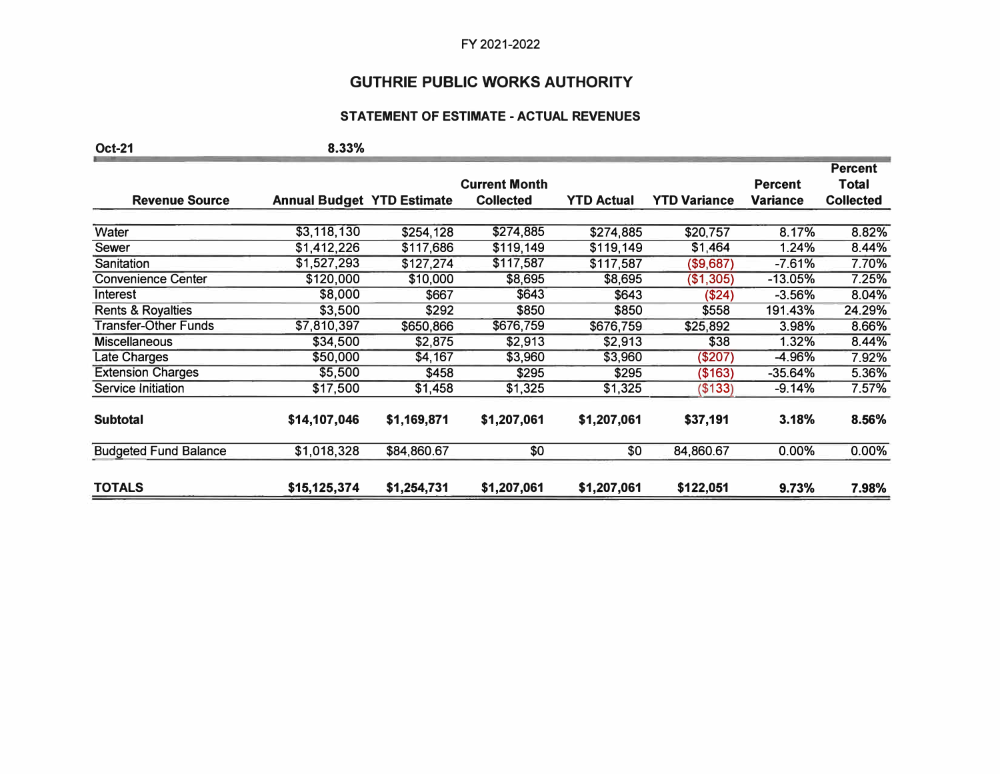# **GUTHRIE PUBLIC WORKS AUTHORITY**

## **STATEMENT OF ESTIMATE -ACTUAL REVENUES**

| <b>Oct-21</b>                | 8.33%                             |             |                      |                   |                     |                |                  |
|------------------------------|-----------------------------------|-------------|----------------------|-------------------|---------------------|----------------|------------------|
|                              |                                   |             |                      |                   |                     |                | <b>Percent</b>   |
|                              |                                   |             | <b>Current Month</b> |                   |                     | <b>Percent</b> | <b>Total</b>     |
| <b>Revenue Source</b>        | <b>Annual Budget YTD Estimate</b> |             | <b>Collected</b>     | <b>YTD Actual</b> | <b>YTD Variance</b> | Variance       | <b>Collected</b> |
| Water                        | \$3,118,130                       | \$254,128   | \$274,885            | \$274,885         | \$20,757            | 8.17%          | 8.82%            |
| Sewer                        | \$1,412,226                       | \$117,686   | \$119,149            | \$119,149         | \$1,464             | 1.24%          | 8.44%            |
| Sanitation                   | \$1,527,293                       | \$127,274   | \$117,587            | \$117,587         | (\$9,687)           | $-7.61%$       | 7.70%            |
| <b>Convenience Center</b>    | \$120,000                         | \$10,000    | \$8,695              | \$8,695           | (\$1,305)           | $-13.05%$      | 7.25%            |
| Interest                     | \$8,000                           | \$667       | \$643                | \$643             | (\$24)              | $-3.56%$       | 8.04%            |
| <b>Rents &amp; Royalties</b> | \$3,500                           | \$292       | \$850                | \$850             | \$558               | 191.43%        | 24.29%           |
| <b>Transfer-Other Funds</b>  | \$7,810,397                       | \$650,866   | \$676,759            | \$676,759         | \$25,892            | 3.98%          | 8.66%            |
| <b>Miscellaneous</b>         | \$34,500                          | \$2,875     | \$2,913              | \$2,913           | \$38                | 1.32%          | 8.44%            |
| Late Charges                 | \$50,000                          | \$4,167     | \$3,960              | \$3,960           | (\$207)             | -4.96%         | 7.92%            |
| <b>Extension Charges</b>     | \$5,500                           | \$458       | \$295                | \$295             | (\$163)             | $-35.64%$      | 5.36%            |
| Service Initiation           | \$17,500                          | \$1,458     | \$1,325              | \$1,325           | (\$133)             | $-9.14%$       | 7.57%            |
| <b>Subtotal</b>              | \$14,107,046                      | \$1,169,871 | \$1,207,061          | \$1,207,061       | \$37,191            | 3.18%          | 8.56%            |
| <b>Budgeted Fund Balance</b> | \$1,018,328                       | \$84,860.67 | \$0                  | \$0               | 84,860.67           | 0.00%          | 0.00%            |
| <b>TOTALS</b>                | \$15,125,374                      | \$1,254,731 | \$1,207,061          | \$1,207,061       | \$122,051           | 9.73%          | 7.98%            |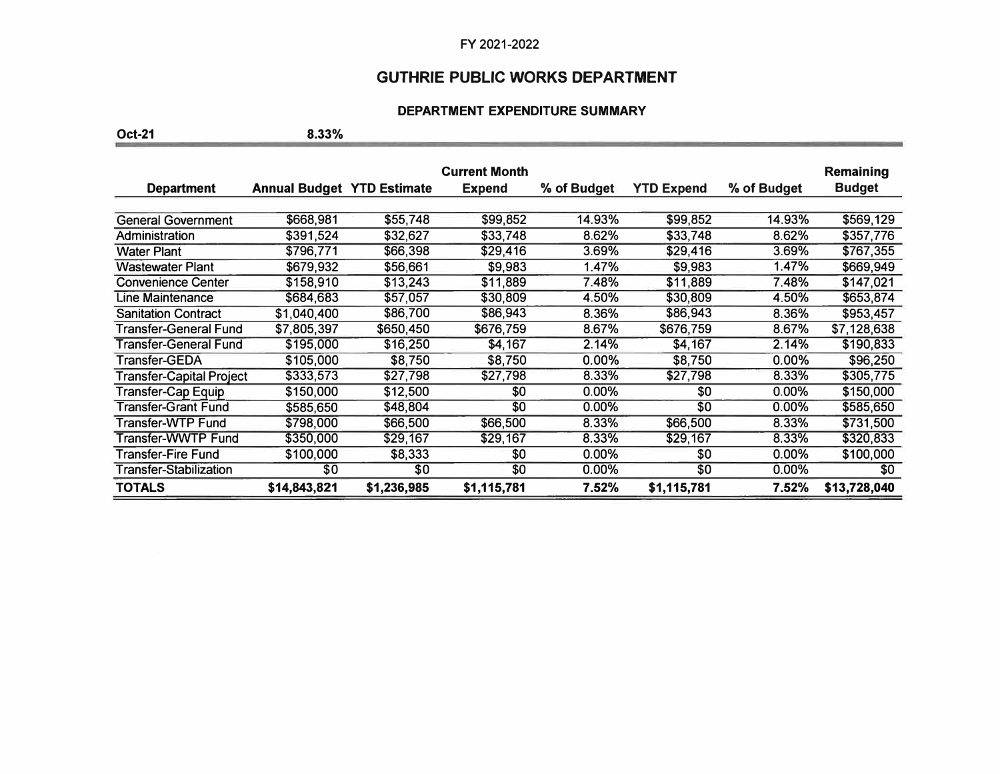# **GUTHRIE PUBLIC WORKS DEPARTMENT**

## **DEPARTMENT EXPENDITURE SUMMARY**

**Oct-21 8.33%** 

|                               |                                   |             | <b>Current Month</b> |             |                   |             | <b>Remaining</b> |
|-------------------------------|-----------------------------------|-------------|----------------------|-------------|-------------------|-------------|------------------|
| <b>Department</b>             | <b>Annual Budget YTD Estimate</b> |             | <b>Expend</b>        | % of Budget | <b>YTD Expend</b> | % of Budget | <b>Budget</b>    |
|                               |                                   |             |                      |             |                   |             |                  |
| <b>General Government</b>     | \$668,981                         | \$55,748    | \$99,852             | 14.93%      | \$99,852          | 14.93%      | \$569,129        |
| Administration                | \$391,524                         | \$32,627    | \$33,748             | 8.62%       | \$33,748          | 8.62%       | \$357,776        |
| <b>Water Plant</b>            | \$796,771                         | \$66,398    | \$29,416             | 3.69%       | \$29,416          | 3.69%       | \$767,355        |
| <b>Wastewater Plant</b>       | \$679,932                         | \$56,661    | \$9,983              | 1.47%       | \$9,983           | 1.47%       | \$669,949        |
| <b>Convenience Center</b>     | \$158,910                         | \$13,243    | \$11,889             | 7.48%       | \$11,889          | 7.48%       | \$147,021        |
| Line Maintenance              | \$684,683                         | \$57,057    | \$30,809             | 4.50%       | \$30,809          | 4.50%       | \$653,874        |
| <b>Sanitation Contract</b>    | \$1,040,400                       | \$86,700    | \$86,943             | 8.36%       | \$86,943          | 8.36%       | \$953,457        |
| Transfer-General Fund         | \$7,805,397                       | \$650,450   | \$676,759            | 8.67%       | \$676,759         | 8.67%       | \$7,128,638      |
| Transfer-General Fund         | \$195,000                         | \$16,250    | \$4,167              | 2.14%       | \$4,167           | 2.14%       | \$190,833        |
| Transfer-GEDA                 | \$105,000                         | \$8,750     | \$8,750              | $0.00\%$    | \$8,750           | 0.00%       | \$96,250         |
| Transfer-Capital Project      | \$333,573                         | \$27,798    | \$27,798             | 8.33%       | \$27,798          | 8.33%       | \$305,775        |
| Transfer-Cap Equip            | \$150,000                         | \$12,500    | \$0                  | 0.00%       | \$0               | $0.00\%$    | \$150,000        |
| <b>Transfer-Grant Fund</b>    | \$585,650                         | \$48,804    | \$0                  | $0.00\%$    | \$0               | $0.00\%$    | \$585,650        |
| Transfer-WTP Fund             | \$798,000                         | \$66,500    | \$66,500             | 8.33%       | \$66,500          | 8.33%       | \$731,500        |
| Transfer-WWTP Fund            | \$350,000                         | \$29,167    | \$29,167             | 8.33%       | \$29,167          | 8.33%       | \$320,833        |
| Transfer-Fire Fund            | \$100,000                         | \$8,333     | \$0                  | $0.00\%$    | \$0               | $0.00\%$    | \$100,000        |
| <b>Transfer-Stabilization</b> | \$0                               | \$0         | \$0                  | $0.00\%$    | \$0               | $0.00\%$    | \$0              |
| <b>TOTALS</b>                 | \$14,843,821                      | \$1,236,985 | \$1,115,781          | 7.52%       | \$1,115,781       | 7.52%       | \$13,728,040     |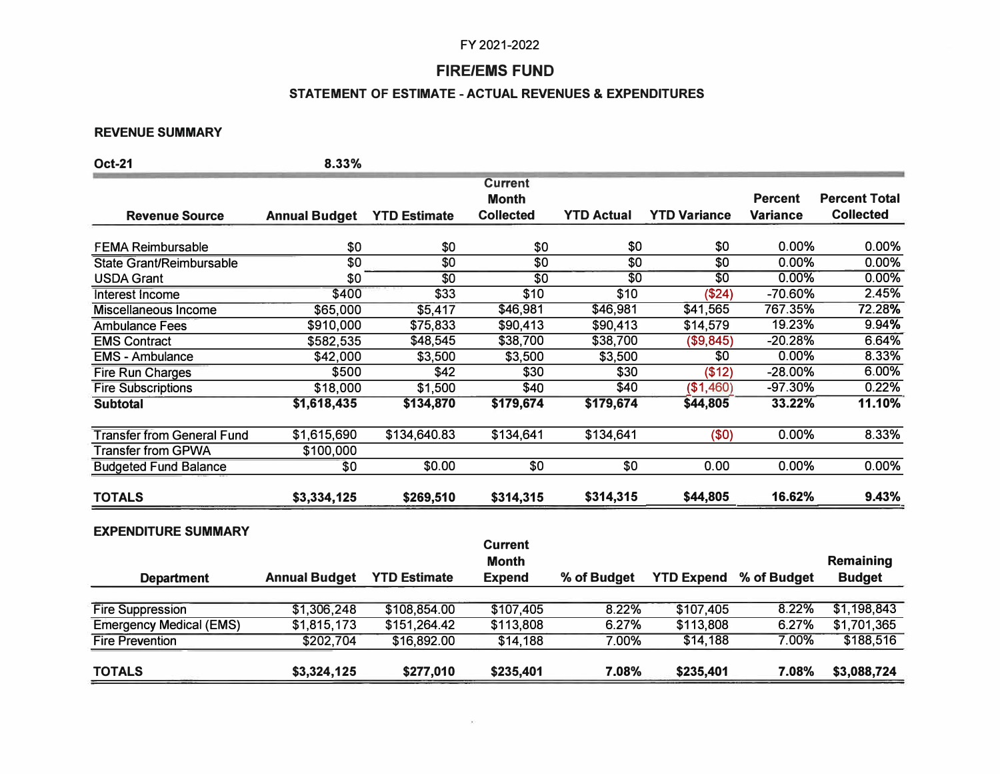# **FIRE/EMS FUND**

## **STATEMENT OF ESTIMATE -ACTUAL REVENUES & EXPENDITURES**

#### **REVENUE SUMMARY**

| <b>Oct-21</b>                     | 8.33%                |                     |                                |                   |                     |                 |                      |
|-----------------------------------|----------------------|---------------------|--------------------------------|-------------------|---------------------|-----------------|----------------------|
|                                   |                      |                     | <b>Current</b>                 |                   |                     |                 |                      |
|                                   |                      |                     | <b>Month</b>                   |                   |                     | <b>Percent</b>  | <b>Percent Total</b> |
| <b>Revenue Source</b>             | <b>Annual Budget</b> | <b>YTD Estimate</b> | <b>Collected</b>               | <b>YTD Actual</b> | <b>YTD Variance</b> | <b>Variance</b> | <b>Collected</b>     |
| <b>FEMA Reimbursable</b>          | \$0                  | \$0                 | \$0                            | \$0               | \$0                 | 0.00%           | 0.00%                |
| <b>State Grant/Reimbursable</b>   | $\overline{30}$      | $\overline{30}$     | $\overline{30}$                | $\overline{30}$   | $\overline{30}$     | 0.00%           | 0.00%                |
| <b>USDA Grant</b>                 | \$0                  | $\overline{30}$     | $\overline{30}$                | $\overline{30}$   | $\overline{30}$     | 0.00%           | 0.00%                |
| Interest Income                   | \$400                | \$33                | \$10                           | \$10              | (\$24)              | -70.60%         | 2.45%                |
| Miscellaneous Income              | \$65,000             | \$5,417             | \$46,981                       | \$46,981          | \$41,565            | 767.35%         | 72.28%               |
| <b>Ambulance Fees</b>             | \$910,000            | \$75,833            | \$90,413                       | \$90,413          | \$14,579            | 19.23%          | 9.94%                |
| <b>EMS Contract</b>               | \$582,535            | \$48,545            | \$38,700                       | \$38,700          | (\$9,845)           | $-20.28%$       | 6.64%                |
| <b>EMS - Ambulance</b>            | \$42,000             | \$3,500             | \$3,500                        | \$3,500           | $\overline{30}$     | 0.00%           | 8.33%                |
| <b>Fire Run Charges</b>           | \$500                | \$42                | \$30                           | \$30              | (\$12)              | $-28.00%$       | 6.00%                |
| <b>Fire Subscriptions</b>         | \$18,000             | \$1,500             | \$40                           | \$40              | (\$1,460)           | $-97.30%$       | 0.22%                |
| <b>Subtotal</b>                   | \$1,618,435          | \$134,870           | \$179,674                      | \$179,674         | \$44,805            | 33.22%          | 11.10%               |
| <b>Transfer from General Fund</b> | \$1,615,690          | \$134,640.83        | \$134,641                      | \$134,641         | (50)                | 0.00%           | 8.33%                |
| <b>Transfer from GPWA</b>         | \$100,000            |                     |                                |                   |                     |                 |                      |
| <b>Budgeted Fund Balance</b>      | \$0                  | \$0.00              | \$0                            | \$0               | 0.00                | 0.00%           | 0.00%                |
| <b>TOTALS</b>                     | \$3,334,125          | \$269,510           | \$314,315                      | \$314,315         | \$44,805            | 16.62%          | 9.43%                |
| <b>EXPENDITURE SUMMARY</b>        |                      |                     |                                |                   |                     |                 |                      |
|                                   |                      |                     | <b>Current</b><br><b>Month</b> |                   |                     |                 | <b>Remaining</b>     |
| <b>Department</b>                 | <b>Annual Budget</b> | <b>YTD Estimate</b> | <b>Expend</b>                  | % of Budget       | <b>YTD Expend</b>   | % of Budget     | <b>Budget</b>        |
| <b>Fire Suppression</b>           | \$1,306,248          | \$108,854.00        | \$107,405                      | 8.22%             | \$107,405           | 8.22%           | \$1,198,843          |
| <b>Emergency Medical (EMS)</b>    | \$1,815,173          | \$151,264.42        | \$113,808                      | 6.27%             | \$113,808           | 6.27%           | \$1,701,365          |

Fire Prevention \$202,704 \$16,892.00 \$14,188 7.00% \$14,188 7.00% \$188,516

**TOTALS \$3,324,125 \$277,010 \$235,401 7.08% \$235,401 7.08% \$3,088,724**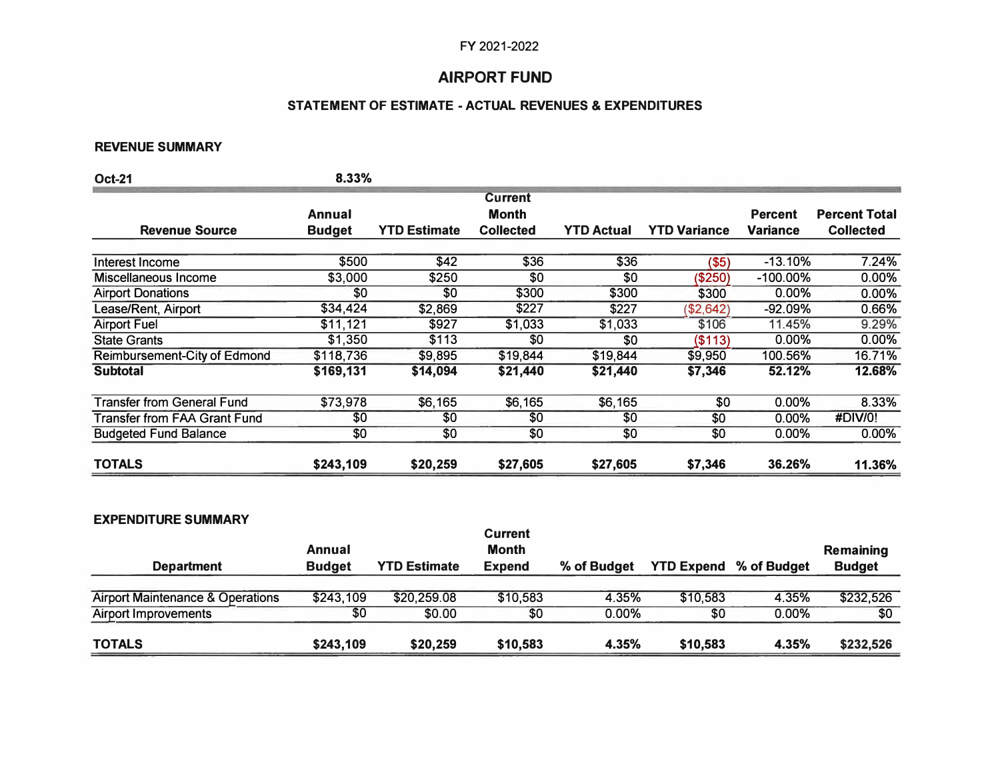# **AIRPORT FUND**

# **STATEMENT OF ESTIMATE -ACTUAL REVENUES & EXPENDITURES**

### **REVENUE SUMMARY**

| <b>Oct-21</b>                     | 8.33%         |                     |                                |                   |                     |                |                      |
|-----------------------------------|---------------|---------------------|--------------------------------|-------------------|---------------------|----------------|----------------------|
|                                   | Annual        |                     | <b>Current</b><br><b>Month</b> |                   |                     | <b>Percent</b> | <b>Percent Total</b> |
| <b>Revenue Source</b>             | <b>Budget</b> | <b>YTD Estimate</b> | <b>Collected</b>               | <b>YTD Actual</b> | <b>YTD Variance</b> | Variance       | <b>Collected</b>     |
| Interest Income                   | \$500         | \$42                | \$36                           | \$36              | (\$5)               | $-13.10%$      | 7.24%                |
| Miscellaneous Income              | \$3,000       | \$250               | \$0                            | \$0               | (\$250)             | $-100.00\%$    | 0.00%                |
| <b>Airport Donations</b>          | \$0           | \$0                 | \$300                          | \$300             | \$300               | 0.00%          | 0.00%                |
| Lease/Rent, Airport               | \$34,424      | \$2,869             | \$227                          | \$227             | (\$2,642)           | $-92.09%$      | 0.66%                |
| <b>Airport Fuel</b>               | \$11,121      | \$927               | \$1,033                        | \$1,033           | \$106               | 11.45%         | 9.29%                |
| <b>State Grants</b>               | \$1,350       | \$113               | \$0                            | \$0               | (\$113)             | $0.00\%$       | 0.00%                |
| Reimbursement-City of Edmond      | \$118,736     | \$9,895             | \$19,844                       | \$19,844          | \$9,950             | 100.56%        | 16.71%               |
| <b>Subtotal</b>                   | \$169,131     | \$14,094            | \$21,440                       | \$21,440          | \$7,346             | 52.12%         | 12.68%               |
| <b>Transfer from General Fund</b> | \$73,978      | \$6,165             | \$6,165                        | \$6,165           | \$0                 | 0.00%          | 8.33%                |
| Transfer from FAA Grant Fund      | \$0           | \$0                 | \$0                            | \$0               | \$0                 | $0.00\%$       | #DIV/0!              |
| <b>Budgeted Fund Balance</b>      | \$0           | \$0                 | \$0                            | \$0               | \$0                 | $0.00\%$       | 0.00%                |
| <b>TOTALS</b>                     | \$243,109     | \$20,259            | \$27,605                       | \$27,605          | \$7,346             | 36.26%         | 11.36%               |

## **EXPENDITURE SUMMARY**

| <b>Department</b>                | Annual<br><b>Budget</b> | <b>YTD Estimate</b> | <b>Current</b><br><b>Month</b><br><b>Expend</b> | % of Budget |          | <b>YTD Expend % of Budget</b> | <b>Remaining</b><br><b>Budget</b> |
|----------------------------------|-------------------------|---------------------|-------------------------------------------------|-------------|----------|-------------------------------|-----------------------------------|
| Airport Maintenance & Operations | \$243,109               | \$20,259.08         | \$10,583                                        | 4.35%       | \$10,583 | 4.35%                         | \$232,526                         |
| <b>Airport Improvements</b>      | \$0                     | \$0.00              | \$0                                             | $0.00\%$    | \$0      | $0.00\%$                      | \$0                               |
| <b>TOTALS</b>                    | \$243,109               | \$20,259            | \$10,583                                        | 4.35%       | \$10,583 | 4.35%                         | \$232,526                         |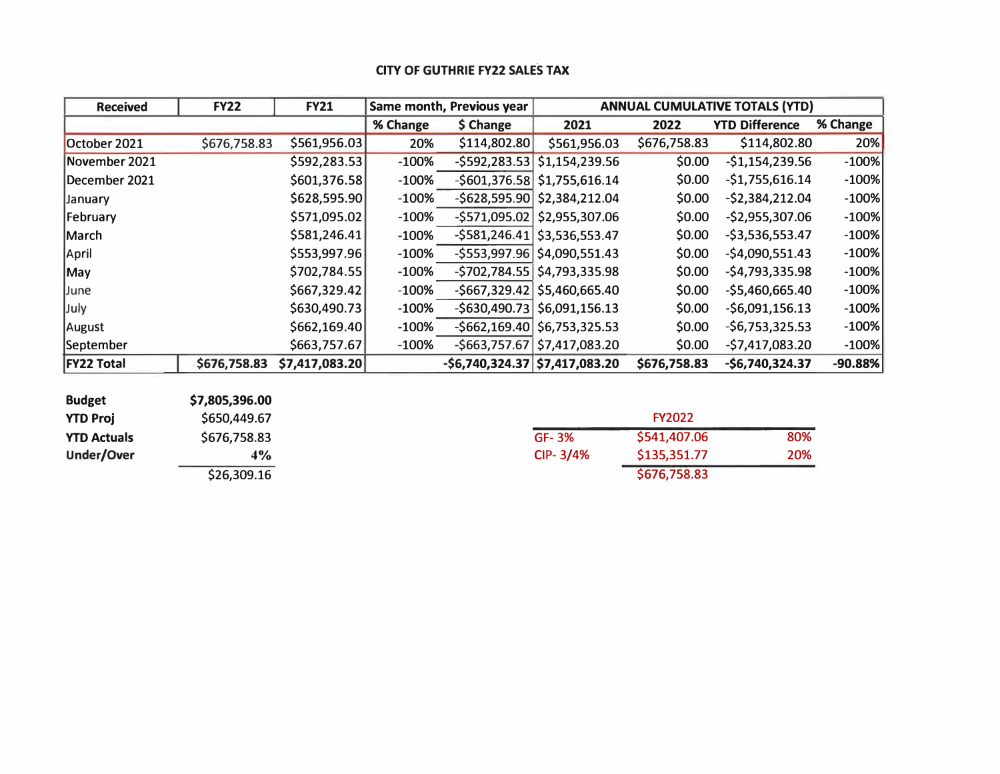# **CITY OF GUTHRIE FY22 SALES TAX**

| <b>Received</b>   | <b>FY22</b>  | <b>FY21</b>    |          | <b>ANNUAL CUMULATIVE TOTALS (YTD)</b><br>Same month, Previous year |                                |              |                       |           |
|-------------------|--------------|----------------|----------|--------------------------------------------------------------------|--------------------------------|--------------|-----------------------|-----------|
|                   |              |                | % Change | \$ Change                                                          | 2021                           | 2022         | <b>YTD Difference</b> | % Change  |
| October 2021      | \$676,758.83 | \$561,956.03   | 20%      | \$114,802.80                                                       | \$561,956.03                   | \$676,758.83 | \$114,802.80          | 20%       |
| November 2021     |              | \$592,283.53   | $-100%$  |                                                                    | $-5592,283.53$ $51,154,239.56$ | \$0.00       | $-$1,154,239.56$      | $-100%$   |
| December 2021     |              | \$601,376.58   | $-100%$  |                                                                    | $-5601,376.58$ \$1,755,616.14  | \$0.00       | $-$1,755,616.14$      | $-100%$   |
| January           |              | \$628,595.90   | $-100%$  |                                                                    | $-5628,595.90$ \$2,384,212.04  | \$0.00       | $-52,384,212.04$      | $-100%$   |
| February          |              | \$571,095.02   | $-100%$  |                                                                    | $-5571,095.02$ \$2,955,307.06  | \$0.00       | $-$2,955,307.06$      | $-100%$   |
| March             |              | \$581,246.41   | $-100%$  |                                                                    | $-5581,246.41$ \$3,536,553.47  | \$0.00       | $-$3,536,553.47$      | $-100%$   |
| <b>April</b>      |              | \$553,997.96   | $-100%$  |                                                                    | $-5553,997.96$ \$4,090,551.43  | \$0.00       | $-$4,090,551.43$      | $-100%$   |
| May               |              | \$702,784.55   | $-100%$  |                                                                    | $-5702,784.55$ \$4,793,335.98  | \$0.00       | $-$4,793,335.98$      | $-100%$   |
| June              |              | \$667,329.42]  | $-100%$  |                                                                    | $-5667,329.42$ \$5,460,665.40  | \$0.00       | $-$5,460,665.40$      | $-100%$   |
| July              |              | \$630,490.73   | $-100%$  |                                                                    | $-5630,490.73$ \$6,091,156.13  | \$0.00       | $-56,091,156.13$      | $-100%$   |
| August            |              | \$662,169.40]  | $-100%$  |                                                                    | $-5662,169.40$ \$6,753,325.53  | \$0.00       | $-56,753,325.53$      | $-100%$   |
| September         |              | \$663,757.67   | $-100%$  |                                                                    | $-5663,757.67$ \$7,417,083.20  | \$0.00       | $-$7,417,083.20$      | $-100%$   |
| <b>FY22 Total</b> | \$676,758.83 | \$7,417,083.20 |          | $-56,740,324.37$ \$7,417,083.20                                    |                                | \$676,758.83 | $-$6,740,324.37$      | $-90.88%$ |

| <b>Budget</b>      | \$7,805,396.00 |              |               |
|--------------------|----------------|--------------|---------------|
| <b>YTD Proj</b>    | \$650,449.67   |              | <b>FY2022</b> |
| <b>YTD Actuals</b> | \$676,758.83   | GF-3%        | \$541,407.    |
| Under/Over         | $4\%$          | $CIP - 3/4%$ | \$135,351.    |
|                    | \$26,309.16    |              | \$676,758.    |

| YTD Proj           | \$650,449.67 |              | <b>FY2022</b> |     |
|--------------------|--------------|--------------|---------------|-----|
| <b>YTD Actuals</b> | \$676,758.83 | GF-3%        | \$541,407.06  | 80% |
| Under/Over         | $4\%$        | $CIP - 3/4%$ | \$135,351.77  | 20% |
|                    | \$26,309.16  |              | \$676,758.83  |     |